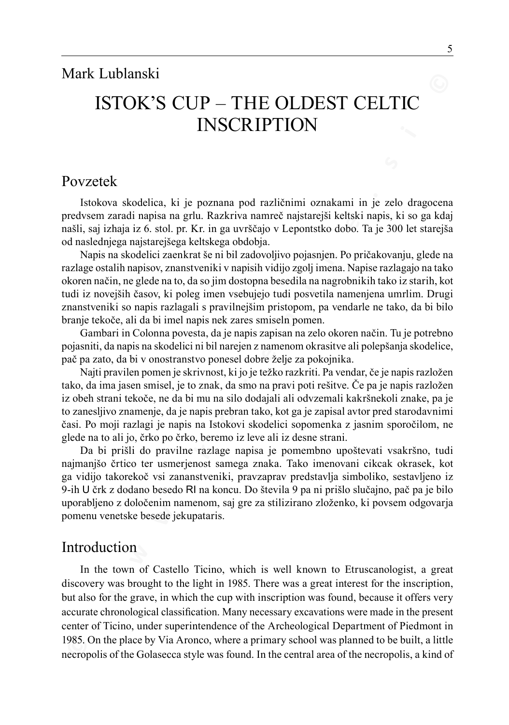# ISTOK'S CUP – THE OLDEST CELTIC INSCRIPTION

### Povzetek

Istokova skodelica, ki je poznana pod različnimi oznakami in je zelo dragocena predvsem zaradi napisa na grlu. Razkriva namreč najstarejši keltski napis, ki so ga kdaj našli, saj izhaja iz 6. stol. pr. Kr. in ga uvrščajo v Lepontstko dobo. Ta je 300 let starejša od naslednjega najstarejšega keltskega obdobja.

Napis na skodelici zaenkrat še ni bil zadovoljivo pojasnjen. Po pričakovanju, glede na razlage ostalih napisov, znanstveniki v napisih vidijo zgolj imena. Napise razlagajo na tako okoren način, ne glede na to, da so jim dostopna besedila na nagrobnikih tako iz starih, kot tudi iz novejših časov, ki poleg imen vsebujejo tudi posvetila namenjena umrlim. Drugi znanstveniki so napis razlagali s pravilnejšim pristopom, pa vendarle ne tako, da bi bilo branje tekoče, ali da bi imel napis nek zares smiseln pomen.

Gambari in Colonna povesta, da je napis zapisan na zelo okoren način. Tu je potrebno pojasniti, da napis na skodelici ni bil narejen z namenom okrasitve ali polepšanja skodelice, pač pa zato, da bi v onostranstvo ponesel dobre želje za pokojnika.

Najti pravilen pomen je skrivnost, ki jo je težko razkriti. Pa vendar, če je napis razložen tako, da ima jasen smisel, je to znak, da smo na pravi poti rešitve. Če pa je napis razložen iz obeh strani tekoče, ne da bi mu na silo dodajali ali odvzemali kakršnekoli znake, pa je to zanesljivo znamenje, da je napis prebran tako, kot ga je zapisal avtor pred starodavnimi časi. Po moji razlagi je napis na Istokovi skodelici sopomenka z jasnim sporočilom, ne glede na to ali jo, črko po črko, beremo iz leve ali iz desne strani.

Da bi prišli do pravilne razlage napisa je pomembno upoštevati vsakršno, tudi najmanjšo črtico ter usmerjenost samega znaka. Tako imenovani cikcak okrasek, kot ga vidijo takorekoč vsi zananstveniki, pravzaprav predstavlja simboliko, sestavljeno iz 9-ih U črk z dodano besedo RI na koncu. Do števila 9 pa ni prišlo slučajno, pač pa je bilo uporabljeno z določenim namenom, saj gre za stilizirano zloženko, ki povsem odgovarja pomenu venetske besede jekupataris.

### Introduction

**EXERCATE CONDRESSAT**<br>
STOCK'S CUP - THE OLDEST CELTIC<br>
SIX and the state of the state of the state of the state of the state of the state of the state of the state of the state of the state of the state of the state of th In the town of Castello Ticino, which is well known to Etruscanologist, a great discovery was brought to the light in 1985. There was a great interest for the inscription, but also for the grave, in which the cup with inscription was found, because it offers very accurate chronological classification. Many necessary excavations were made in the present center of Ticino, under superintendence of the Archeological Department of Piedmont in 1985. On the place by Via Aronco, where a primary school was planned to be built, a little necropolis of the Golasecca style was found. In the central area of the necropolis, a kind of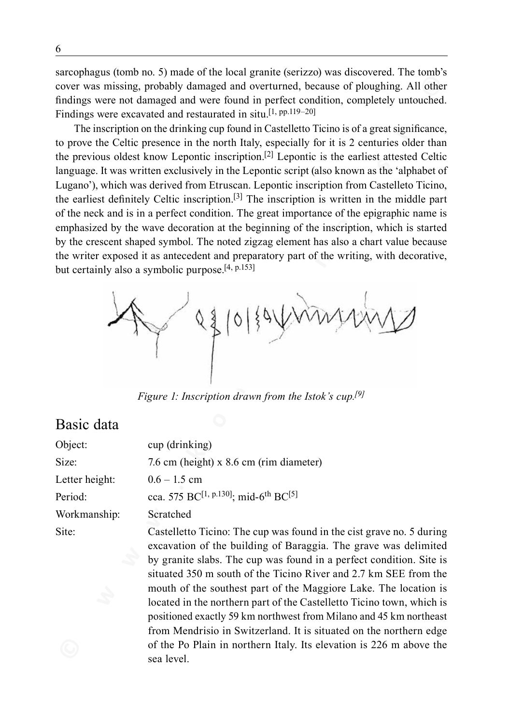sarcophagus (tomb no. 5) made of the local granite (serizzo) was discovered. The tomb's cover was missing, probably damaged and overturned, because of ploughing. All other findings were not damaged and were found in perfect condition, completely untouched. Findings were excavated and restaurated in situ.[1, pp.119–20]

**Example 1.** The interpret of the density and we be formed in perfect condition, completely unionched<br>
infinity sever excevated and vertured in stin [*t.*]<sup>(*t.*]</sub>(*t.*)<sup>(*k*</sup>). The interpret of the densiting component of</sup> The inscription on the drinking cup found in Castelletto Ticino is of a great significance, to prove the Celtic presence in the north Italy, especially for it is 2 centuries older than the previous oldest know Lepontic inscription.[2] Lepontic is the earliest attested Celtic language. It was written exclusively in the Lepontic script (also known as the 'alphabet of Lugano'), which was derived from Etruscan. Lepontic inscription from Castelleto Ticino, the earliest definitely Celtic inscription.[3] The inscription is written in the middle part of the neck and is in a perfect condition. The great importance of the epigraphic name is emphasized by the wave decoration at the beginning of the inscription, which is started by the crescent shaped symbol. The noted zigzag element has also a chart value because the writer exposed it as antecedent and preparatory part of the writing, with decorative, but certainly also a symbolic purpose.<sup>[4, p.153]</sup>



*Figure 1: Inscription drawn from the Istok's cup.[9]*

#### Basic data

| Object:        | cup (drinking)                                                            |
|----------------|---------------------------------------------------------------------------|
| Size:          | 7.6 cm (height) x 8.6 cm (rim diameter)                                   |
| Letter height: | $0.6 - 1.5$ cm                                                            |
| Period:        | cca. 575 BC <sup>[1, p.130]</sup> ; mid-6 <sup>th</sup> BC <sup>[5]</sup> |
| Workmanship:   | Scratched                                                                 |
| Site:          | Castelletto Ticino: The cup was found in                                  |

the cist grave no.  $5$  during excavation of the building of Baraggia. The grave was delimited by granite slabs. The cup was found in a perfect condition. Site is situated 350 m south of the Ticino River and 2.7 km SEE from the mouth of the southest part of the Maggiore Lake. The location is located in the northern part of the Castelletto Ticino town, which is positioned exactly 59 km northwest from Milano and 45 km northeast from Mendrisio in Switzerland. It is situated on the northern edge of the Po Plain in northern Italy. Its elevation is 226 m above the sea level.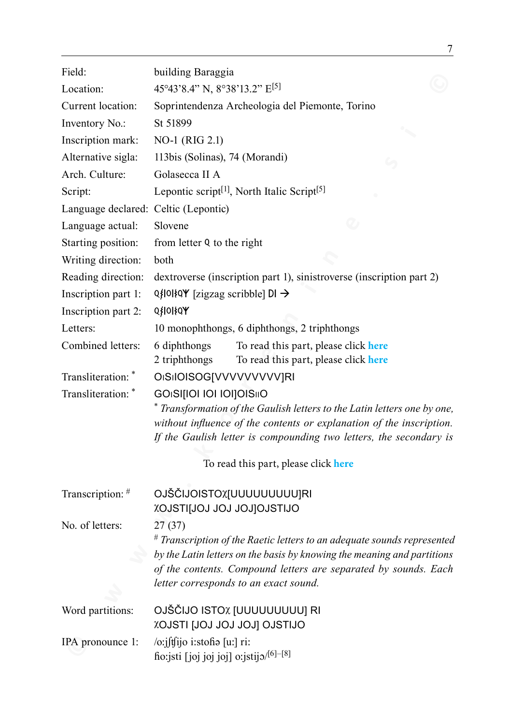| Field:                               | building Baraggia                                                                                                                                  |  |  |
|--------------------------------------|----------------------------------------------------------------------------------------------------------------------------------------------------|--|--|
| Location:                            | 45°43'8.4" N, 8°38'13.2" E <sup>[5]</sup>                                                                                                          |  |  |
| Current location:                    | Soprintendenza Archeologia del Piemonte, Torino                                                                                                    |  |  |
| Inventory No.:                       | St 51899                                                                                                                                           |  |  |
| Inscription mark:                    | NO-1 (RIG 2.1)                                                                                                                                     |  |  |
| Alternative sigla:                   | 113bis (Solinas), 74 (Morandi)                                                                                                                     |  |  |
| Arch. Culture:                       | Golasecca II A                                                                                                                                     |  |  |
| Script:                              | Lepontic script <sup>[1]</sup> , North Italic Script <sup>[5]</sup>                                                                                |  |  |
| Language declared: Celtic (Lepontic) |                                                                                                                                                    |  |  |
| Language actual:                     | Slovene                                                                                                                                            |  |  |
| Starting position:                   | from letter Q to the right                                                                                                                         |  |  |
| Writing direction:                   | both                                                                                                                                               |  |  |
| Reading direction:                   | dextroverse (inscription part 1), sinistroverse (inscription part 2)                                                                               |  |  |
| Inscription part 1:                  | Q{ 0 {QY [zigzag scribble] $DI \rightarrow$                                                                                                        |  |  |
| Inscription part 2:                  | Q{IOI{QY                                                                                                                                           |  |  |
| Letters:                             | 10 monophthongs, 6 diphthongs, 2 triphthongs                                                                                                       |  |  |
| Combined letters:                    | 6 diphthongs<br>To read this part, please click here<br>2 triphthongs<br>To read this part, please click here                                      |  |  |
| Transliteration: *                   | OISIIOISOG[VVVVVVVVV]RI                                                                                                                            |  |  |
| Transliteration: *                   | GOISI[IOI IOI IOI]OISIIO                                                                                                                           |  |  |
|                                      | * Transformation of the Gaulish letters to the Latin letters one by one,                                                                           |  |  |
|                                      | without influence of the contents or explanation of the inscription.                                                                               |  |  |
|                                      | If the Gaulish letter is compounding two letters, the secondary is                                                                                 |  |  |
|                                      | To read this part, please click here                                                                                                               |  |  |
| Transcription: #                     | OJŠČIJOISTOX[UUUUUUUUUU]RI                                                                                                                         |  |  |
|                                      | OUITSLO[LOL LOL LOL]ITSLOX                                                                                                                         |  |  |
| No. of letters:                      | 27(37)                                                                                                                                             |  |  |
|                                      | # Transcription of the Raetic letters to an adequate sounds represented<br>by the Latin letters on the basis by knowing the meaning and partitions |  |  |
|                                      | of the contents. Compound letters are separated by sounds. Each                                                                                    |  |  |
|                                      | letter corresponds to an exact sound.                                                                                                              |  |  |
|                                      |                                                                                                                                                    |  |  |
| Word partitions:                     | OJŠČIJO ISTOX [UUUUUUUUU] RI<br>OUITZUO [UOU LOU LOU] ITZUOX                                                                                       |  |  |
| IPA pronounce 1:                     | /oːjftfijo i:stofia [uː] riː                                                                                                                       |  |  |
|                                      | fio:jsti [joj joj joj] o:jstijo/[6]-[8]                                                                                                            |  |  |

7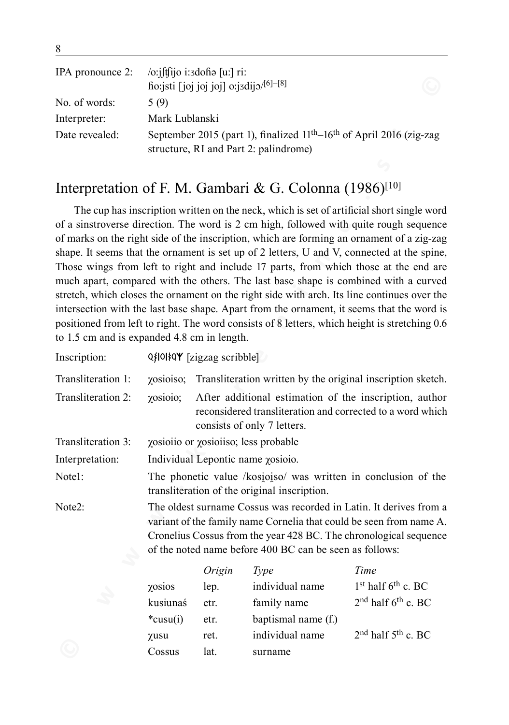| IPA pronounce 2: | $\alpha$ ; $\beta$ ifijo i: 3dofia $\alpha$ ] ri:<br>fio: jsti [joj joj joj] o: jsdijo/ $[6]-[8]$                                     |
|------------------|---------------------------------------------------------------------------------------------------------------------------------------|
| No. of words:    | 5(9)                                                                                                                                  |
| Interpreter:     | Mark Lublanski                                                                                                                        |
| Date revealed:   | September 2015 (part 1), finalized 11 <sup>th</sup> -16 <sup>th</sup> of April 2016 (zig-zag<br>structure, RI and Part 2: palindrome) |

### Interpretation of F. M. Gambari & G. Colonna (1986)<sup>[10]</sup>

8

|                                             | $\sim$ 112.10 $\sim$ 0.000 $\sim$ $\sim$ $\sim$ 10.100 $\sim$                                                                                                                                                                                                             | fio:jsti [joj joj joj] o:jsdijo/[6]-[8]                                                                                                             |                                                                                                                                                                                                                                                                                                                                                                                                                                                                                                                                                                                                                                                                                                                                                                                                                                                            |                                            |
|---------------------------------------------|---------------------------------------------------------------------------------------------------------------------------------------------------------------------------------------------------------------------------------------------------------------------------|-----------------------------------------------------------------------------------------------------------------------------------------------------|------------------------------------------------------------------------------------------------------------------------------------------------------------------------------------------------------------------------------------------------------------------------------------------------------------------------------------------------------------------------------------------------------------------------------------------------------------------------------------------------------------------------------------------------------------------------------------------------------------------------------------------------------------------------------------------------------------------------------------------------------------------------------------------------------------------------------------------------------------|--------------------------------------------|
| No. of words:                               | 5(9)                                                                                                                                                                                                                                                                      |                                                                                                                                                     |                                                                                                                                                                                                                                                                                                                                                                                                                                                                                                                                                                                                                                                                                                                                                                                                                                                            |                                            |
| Interpreter:                                | Mark Lublanski                                                                                                                                                                                                                                                            |                                                                                                                                                     |                                                                                                                                                                                                                                                                                                                                                                                                                                                                                                                                                                                                                                                                                                                                                                                                                                                            |                                            |
| Date revealed:                              |                                                                                                                                                                                                                                                                           |                                                                                                                                                     | September 2015 (part 1), finalized $11th - 16th$ of April 2016 (zig-zag<br>structure, RI and Part 2: palindrome)                                                                                                                                                                                                                                                                                                                                                                                                                                                                                                                                                                                                                                                                                                                                           |                                            |
|                                             |                                                                                                                                                                                                                                                                           |                                                                                                                                                     |                                                                                                                                                                                                                                                                                                                                                                                                                                                                                                                                                                                                                                                                                                                                                                                                                                                            |                                            |
|                                             |                                                                                                                                                                                                                                                                           |                                                                                                                                                     | Interpretation of F. M. Gambari & G. Colonna (1986) <sup>[10]</sup>                                                                                                                                                                                                                                                                                                                                                                                                                                                                                                                                                                                                                                                                                                                                                                                        |                                            |
| to 1.5 cm and is expanded 4.8 cm in length. |                                                                                                                                                                                                                                                                           |                                                                                                                                                     | The cup has inscription written on the neck, which is set of artificial short single word<br>of a sinstroverse direction. The word is 2 cm high, followed with quite rough sequence<br>of marks on the right side of the inscription, which are forming an ornament of a zig-zag<br>shape. It seems that the ornament is set up of 2 letters, U and V, connected at the spine,<br>Those wings from left to right and include 17 parts, from which those at the end are<br>much apart, compared with the others. The last base shape is combined with a curved<br>stretch, which closes the ornament on the right side with arch. Its line continues over the<br>intersection with the last base shape. Apart from the ornament, it seems that the word is<br>positioned from left to right. The word consists of 8 letters, which height is stretching 0.6 |                                            |
| Inscription:                                |                                                                                                                                                                                                                                                                           | Q{l0l{QY [zigzag scribble]                                                                                                                          |                                                                                                                                                                                                                                                                                                                                                                                                                                                                                                                                                                                                                                                                                                                                                                                                                                                            |                                            |
| Transliteration 1:                          | <i>χosioiso</i> ;                                                                                                                                                                                                                                                         |                                                                                                                                                     | Transliteration written by the original inscription sketch.                                                                                                                                                                                                                                                                                                                                                                                                                                                                                                                                                                                                                                                                                                                                                                                                |                                            |
| Transliteration 2:                          | χosioio;                                                                                                                                                                                                                                                                  | After additional estimation of the inscription, author<br>reconsidered transliteration and corrected to a word which<br>consists of only 7 letters. |                                                                                                                                                                                                                                                                                                                                                                                                                                                                                                                                                                                                                                                                                                                                                                                                                                                            |                                            |
| Transliteration 3:                          | χosioiio or χosioiiso; less probable                                                                                                                                                                                                                                      |                                                                                                                                                     |                                                                                                                                                                                                                                                                                                                                                                                                                                                                                                                                                                                                                                                                                                                                                                                                                                                            |                                            |
| Interpretation:                             | Individual Lepontic name xosioio.                                                                                                                                                                                                                                         |                                                                                                                                                     |                                                                                                                                                                                                                                                                                                                                                                                                                                                                                                                                                                                                                                                                                                                                                                                                                                                            |                                            |
| Notel:                                      | The phonetic value /kosioiso/ was written in conclusion of the<br>transliteration of the original inscription.                                                                                                                                                            |                                                                                                                                                     |                                                                                                                                                                                                                                                                                                                                                                                                                                                                                                                                                                                                                                                                                                                                                                                                                                                            |                                            |
| Note2:                                      | The oldest surname Cossus was recorded in Latin. It derives from a<br>variant of the family name Cornelia that could be seen from name A.<br>Cronelius Cossus from the year 428 BC. The chronological sequence<br>of the noted name before 400 BC can be seen as follows: |                                                                                                                                                     |                                                                                                                                                                                                                                                                                                                                                                                                                                                                                                                                                                                                                                                                                                                                                                                                                                                            |                                            |
|                                             |                                                                                                                                                                                                                                                                           | Origin                                                                                                                                              | <b>Type</b>                                                                                                                                                                                                                                                                                                                                                                                                                                                                                                                                                                                                                                                                                                                                                                                                                                                | Time                                       |
|                                             | χosios                                                                                                                                                                                                                                                                    | lep.                                                                                                                                                | individual name                                                                                                                                                                                                                                                                                                                                                                                                                                                                                                                                                                                                                                                                                                                                                                                                                                            | 1 <sup>st</sup> half 6 <sup>th</sup> c. BC |
|                                             | kusiunaś                                                                                                                                                                                                                                                                  | etr.                                                                                                                                                | family name                                                                                                                                                                                                                                                                                                                                                                                                                                                                                                                                                                                                                                                                                                                                                                                                                                                | 2 <sup>nd</sup> half 6 <sup>th</sup> c. BC |
|                                             | $*$ cusu(i)                                                                                                                                                                                                                                                               | etr.                                                                                                                                                | baptismal name (f.)                                                                                                                                                                                                                                                                                                                                                                                                                                                                                                                                                                                                                                                                                                                                                                                                                                        |                                            |
|                                             | χusu                                                                                                                                                                                                                                                                      | ret.                                                                                                                                                | individual name                                                                                                                                                                                                                                                                                                                                                                                                                                                                                                                                                                                                                                                                                                                                                                                                                                            | 2 <sup>nd</sup> half 5 <sup>th</sup> c. BC |
|                                             | Cossus                                                                                                                                                                                                                                                                    | lat.                                                                                                                                                | surname                                                                                                                                                                                                                                                                                                                                                                                                                                                                                                                                                                                                                                                                                                                                                                                                                                                    |                                            |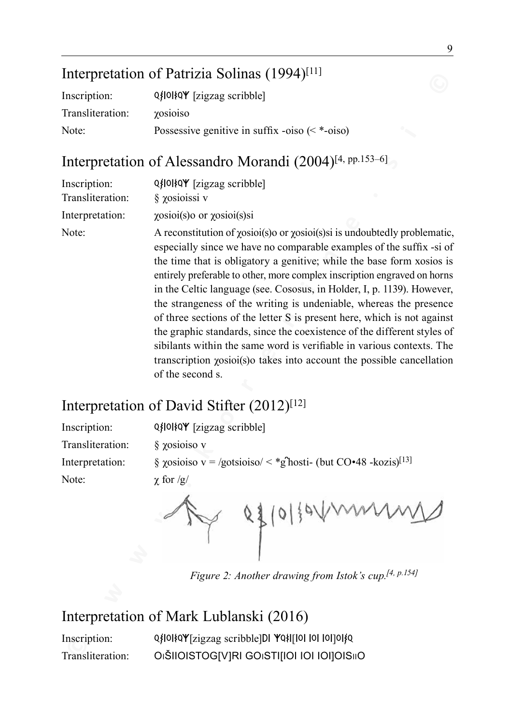# Interpretation of Patrizia Solinas (1994)[11]

| Inscription:     | Q{ 0 \Q\var{Q{ 0 \Q\var{Q}{ 0 \Q\var{Q}{ 0 \Q\var{Q}{Q\var{Q}}} |
|------------------|-----------------------------------------------------------------|
| Transliteration: | <i><u><b>γ</b>osioiso</u></i>                                   |
| Note:            | Possessive genitive in suffix -oiso $(^*-oiso)$                 |

## Interpretation of Alessandro Morandi (2004)<sup>[4, pp.153–6]</sup>

Inscription: Q{IOI{QY [zigzag scribble]<br>Transliteration:  $\S$  yosioissi v Transliteration: Interpretation: χosioi(s)o or χosioi(s)si

**© w w w . k o r e n i n e . s i ©** Note:  $\Delta$  reconstitution of  $\gamma$ osioi(s) or  $\gamma$ osioi(s) is undoubtedly problematic, especially since we have no comparable examples of the suffix -si of the time that is obligatory a genitive; while the base form xosios is entirely preferable to other, more complex inscription engraved on horns in the Celtic language (see. Cososus, in Holder, I, p. 1139). However, the strangeness of the writing is undeniable, whereas the presence of three sections of the letter S is present here, which is not against the graphic standards, since the coexistence of the different styles of sibilants within the same word is verifiable in various contexts. The transcription χosioi(s)o takes into account the possible cancellation of the second s.

# Interpretation of David Stifter (2012)[12]

| Inscription:     | $Q\{101\}Q\Upsilon$ [zigzag scribble]                                                  |
|------------------|----------------------------------------------------------------------------------------|
| Transliteration: | $\frac{1}{2}$ <i>x osioiso</i> v                                                       |
| Interpretation:  | § xosioiso v = /gotsioiso/ < *g <sup>2</sup> hosti- (but CO•48 -kozis) <sup>[13]</sup> |
| Note:            | $\chi$ for /g/                                                                         |
|                  |                                                                                        |

*Figure 2: Another drawing from Istok's cup.[4, p.154]*

# Interpretation of Mark Lublanski (2016)

Inscription: Q{I0l{QY[zigzag scribble]DI YQ{I[I0I I0I] I0I]0l{Q Transliteration: OIŠIIOISTOG[V]RI GOISTI[IOI IOI IOI]OISIIO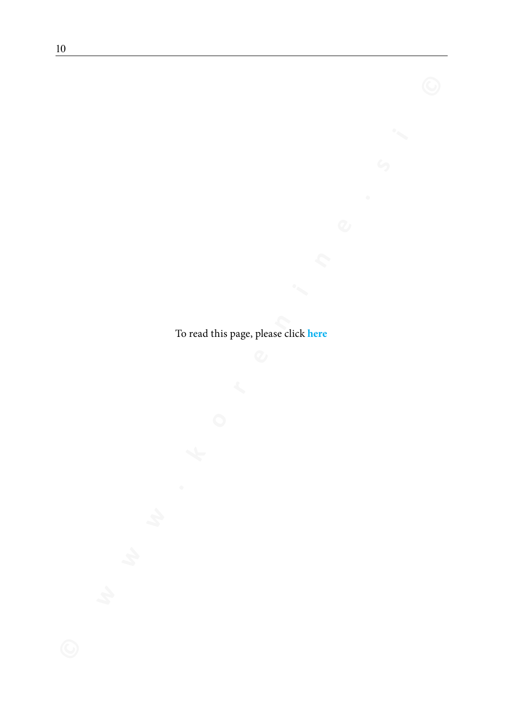**© w w w . k o r e n i n e . s i ©** To read this page, please click **[here](https://promin.si/trgovina/index.php?main_page=product_info&products_id=24)**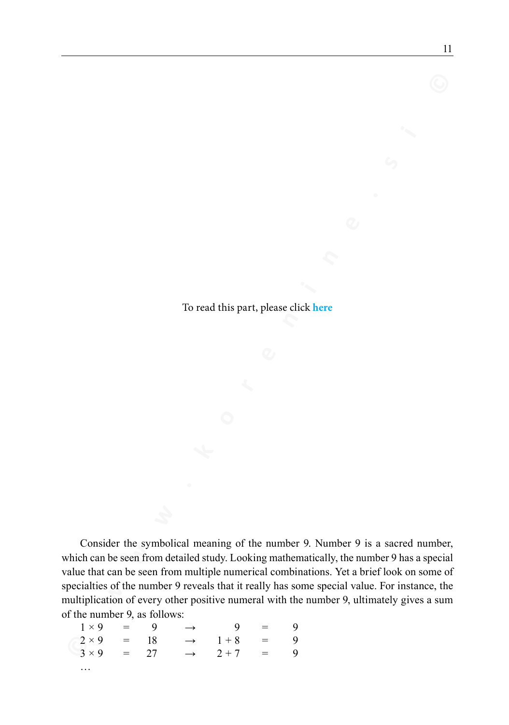To read this part, please click **[here](https://promin.si/trgovina/index.php?main_page=product_info&products_id=24)**

**© w w w . k o r e n i n e . s i ©** Consider the symbolical meaning of the number 9. Number 9 is a sacred number, which can be seen from detailed study. Looking mathematically, the number 9 has a special value that can be seen from multiple numerical combinations. Yet a brief look on some of specialties of the number 9 reveals that it really has some special value. For instance, the multiplication of every other positive numeral with the number 9, ultimately gives a sum of the number 9, as follows:

 $1 \times 9$  = 9  $\rightarrow$  9 = 9  $2 \times 9$  = 18  $\to$  1 + 8 = 9  $3 \times 9 = 27 \rightarrow 2 + 7 = 9$ …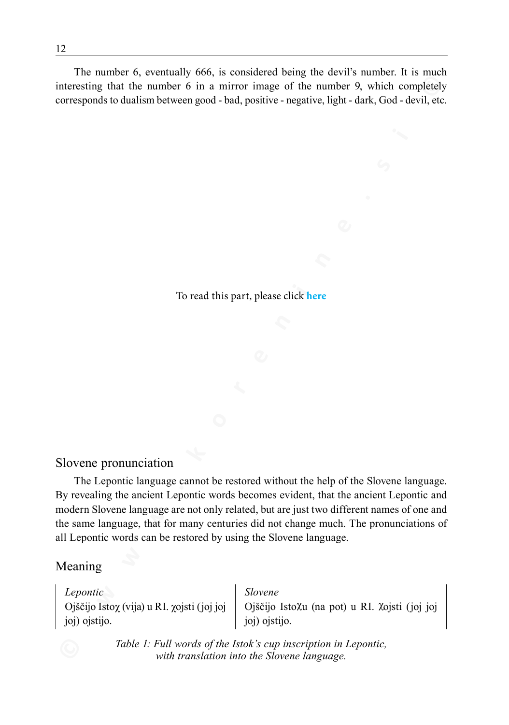The number 6, eventually 666, is considered being the devil's number. It is much interesting that the number 6 in a mirror image of the number 9, which completely corresponds to dualism between good - bad, positive - negative, light - dark, God - devil, etc.

#### To read this part, please click **[here](https://promin.si/trgovina/index.php?main_page=product_info&products_id=24)**

#### Slovene pronunciation

**© w w w . k o r e n i n e . s i ©** The Lepontic language cannot be restored without the help of the Slovene language. By revealing the ancient Lepontic words becomes evident, that the ancient Lepontic and modern Slovene language are not only related, but are just two different names of one and the same language, that for many centuries did not change much. The pronunciations of all Lepontic words can be restored by using the Slovene language.

#### Meaning

*Lepontic Slovene* Ojščijo Istoχ (vija) u RI. χojsti (joj joj joj) ojstijo.

Ojščijo Istoχu (na pot) u RI. χojsti (joj joj joj) ojstijo.

*Table 1: Full words of the Istok's cup inscription in Lepontic, with translation into the Slovene language.*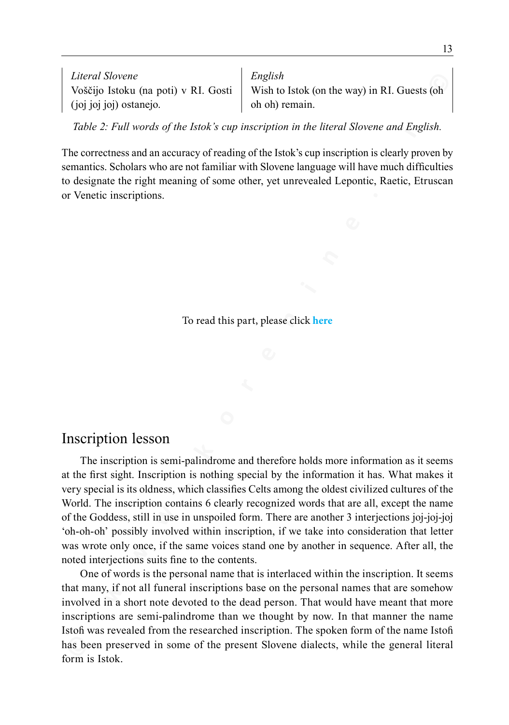*Literal Slovene English* Voščijo Istoku (na poti) v RI. Gosti (joj joj joj) ostanejo.

Wish to Istok (on the way) in RI. Guests (oh oh oh) remain.

*Table 2: Full words of the Istok's cup inscription in the literal Slovene and English.*

The correctness and an accuracy of reading of the Istok's cup inscription is clearly proven by semantics. Scholars who are not familiar with Slovene language will have much difficulties to designate the right meaning of some other, yet unrevealed Lepontic, Raetic, Etruscan or Venetic inscriptions.

To read this part, please click **[here](https://promin.si/trgovina/index.php?main_page=product_info&products_id=24)**

#### Inscription lesson

**Example Source and Source of**  $\mathbf{W}$  **(** $\mathbf{W}$ **) (** $\mathbf{W}$ **) (** $\mathbf{W}$ **) (** $\mathbf{W}$ **) (** $\mathbf{W}$ **) (** $\mathbf{W}$ **) (** $\mathbf{W}$ **) (** $\mathbf{W}$ **) (** $\mathbf{W}$ **) (** $\mathbf{W}$ **) (** $\mathbf{W}$ **) (** $\mathbf{W}$ **) (** $\mathbf{W}$ **) (** $\mathbf{W}$ **) (** $\mathbf{W}$ **) (** $\mathbf{W}$ **) (\mathbf{** The inscription is semi-palindrome and therefore holds more information as it seems at the first sight. Inscription is nothing special by the information it has. What makes it very special is its oldness, which classifies Celts among the oldest civilized cultures of the World. The inscription contains 6 clearly recognized words that are all, except the name of the Goddess, still in use in unspoiled form. There are another 3 interjections joj-joj-joj 'oh-oh-oh' possibly involved within inscription, if we take into consideration that letter was wrote only once, if the same voices stand one by another in sequence. After all, the noted interjections suits fine to the contents.

One of words is the personal name that is interlaced within the inscription. It seems that many, if not all funeral inscriptions base on the personal names that are somehow involved in a short note devoted to the dead person. That would have meant that more inscriptions are semi-palindrome than we thought by now. In that manner the name Istoh was revealed from the researched inscription. The spoken form of the name Istoh has been preserved in some of the present Slovene dialects, while the general literal form is Istok.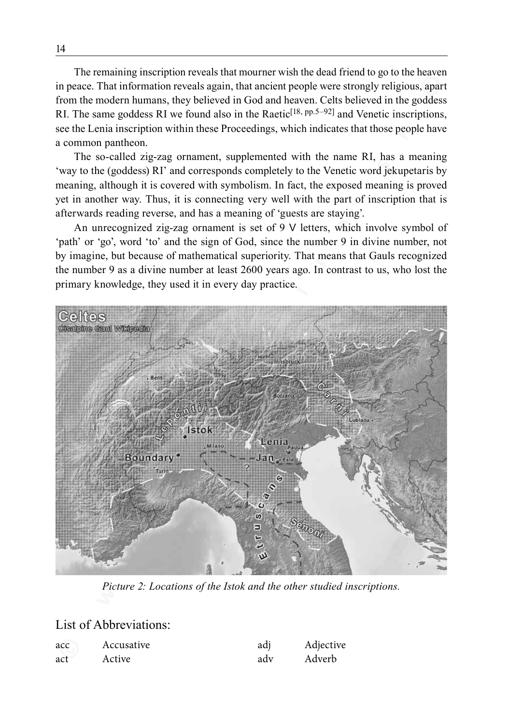The remaining inscription reveals that mourner wish the dead friend to go to the heaven in peace. That information reveals again, that ancient people were strongly religious, apart from the modern humans, they believed in God and heaven. Celts believed in the goddess RI. The same goddess RI we found also in the Raetic<sup>[18, pp.5–92]</sup> and Venetic inscriptions, see the Lenia inscription within these Proceedings, which indicates that those people have a common pantheon.

The so-called zig-zag ornament, supplemented with the name RI, has a meaning 'way to the (goddess) RI' and corresponds completely to the Venetic word jekupetaris by meaning, although it is covered with symbolism. In fact, the exposed meaning is proved yet in another way. Thus, it is connecting very well with the part of inscription that is afterwards reading reverse, and has a meaning of 'guests are staying'.

An unrecognized zig-zag ornament is set of 9 V letters, which involve symbol of 'path' or 'go', word 'to' and the sign of God, since the number 9 in divine number, not by imagine, but because of mathematical superiority. That means that Gauls recognized the number 9 as a divine number at least 2600 years ago. In contrast to us, who lost the primary knowledge, they used it in every day practice.



*Picture 2: Locations of the Istok and the other studied inscriptions.*

#### List of Abbreviations:

| acc | Accusative | adj | Adjective |
|-----|------------|-----|-----------|
| act | Active     | adv | Adverb    |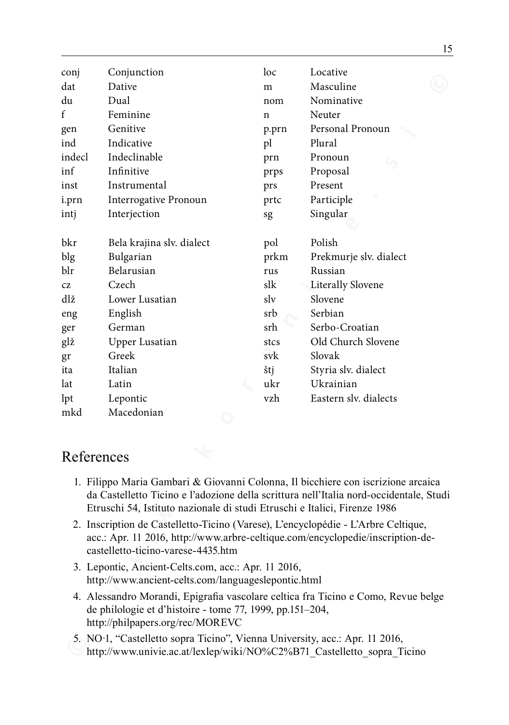| conj                                                                                   | Conjunction                                                                       | loc   | Locative                 |  |
|----------------------------------------------------------------------------------------|-----------------------------------------------------------------------------------|-------|--------------------------|--|
| dat                                                                                    | Dative                                                                            | m     | Masculine                |  |
| du                                                                                     | Dual                                                                              | nom   | Nominative               |  |
| f                                                                                      | Feminine                                                                          | n     | Neuter                   |  |
| gen                                                                                    | Genitive                                                                          | p.prn | Personal Pronoun         |  |
| ind                                                                                    | Indicative                                                                        | pl    | Plural                   |  |
| indecl                                                                                 | Indeclinable                                                                      | prn   | Pronoun<br>m             |  |
| inf                                                                                    | Infinitive                                                                        | prps  | Proposal                 |  |
| inst                                                                                   | Instrumental                                                                      | prs   | Present                  |  |
| i.prn                                                                                  | <b>Interrogative Pronoun</b>                                                      | prtc  | Participle               |  |
| intj                                                                                   | Interjection                                                                      | sg    | Singular                 |  |
|                                                                                        |                                                                                   |       |                          |  |
| bkr                                                                                    | Bela krajina slv. dialect                                                         | pol   | Polish                   |  |
| blg                                                                                    | Bulgarian                                                                         | prkm  | Prekmurje slv. dialect   |  |
| blr                                                                                    | Belarusian                                                                        | rus   | Russian                  |  |
| CZ                                                                                     | Czech                                                                             | slk   | <b>Literally Slovene</b> |  |
| dlž                                                                                    | Lower Lusatian                                                                    | slv   | Slovene                  |  |
| eng                                                                                    | English                                                                           | srb   | Serbian                  |  |
| ger                                                                                    | German                                                                            | srh   | Serbo-Croatian           |  |
| glž                                                                                    | <b>Upper Lusatian</b>                                                             | stcs  | Old Church Slovene       |  |
| gr                                                                                     | Greek                                                                             | svk   | Slovak                   |  |
| ita                                                                                    | Italian                                                                           | štj   | Styria slv. dialect      |  |
| lat                                                                                    | Latin                                                                             | ukr   | Ukrainian                |  |
| lpt                                                                                    | Lepontic                                                                          | vzh   | Eastern slv. dialects    |  |
| mkd                                                                                    | Macedonian                                                                        |       |                          |  |
|                                                                                        |                                                                                   |       |                          |  |
|                                                                                        |                                                                                   |       |                          |  |
| References                                                                             |                                                                                   |       |                          |  |
|                                                                                        | 1. Filippo Maria Gambari & Giovanni Colonna, Il bicchiere con iscrizione arcaica  |       |                          |  |
| da Castelletto Ticino e l'adozione della scrittura nell'Italia nord-occidentale, Studi |                                                                                   |       |                          |  |
|                                                                                        | Etruschi 54, Istituto nazionale di studi Etruschi e Italici, Firenze 1986         |       |                          |  |
|                                                                                        | 2. Inscription de Castelletto-Ticino (Varese), L'encyclopédie - L'Arbre Celtique, |       |                          |  |
| acc.: Apr. 11 2016, http://www.arbre-celtique.com/encyclopedie/inscription-de-         |                                                                                   |       |                          |  |
| castelletto-ticino-varese-4435.htm                                                     |                                                                                   |       |                          |  |
|                                                                                        | 3. Lepontic, Ancient-Celts.com, acc.: Apr. 11 2016,                               |       |                          |  |
| http://www.ancient-celts.com/languageslepontic.html                                    |                                                                                   |       |                          |  |
|                                                                                        | 4. Alessandro Morandi, Epigrafia vascolare celtica fra Ticino e Como, Revue belge |       |                          |  |
| de philologie et d'histoire - tome 77, 1999, pp.151-204,                               |                                                                                   |       |                          |  |
|                                                                                        | http://philpapers.org/rec/MOREVC                                                  |       |                          |  |
| 5. NO 1, "Castelletto sopra Ticino", Vienna University, acc.: Apr. 11 2016,            |                                                                                   |       |                          |  |
| http://www.univie.ac.at/lexlep/wiki/NO%C2%B71 Castelletto sopra Ticino                 |                                                                                   |       |                          |  |

### References

- 1. Filippo Maria Gambari & Giovanni Colonna, Il bicchiere con iscrizione arcaica da Castelletto Ticino e l'adozione della scrittura nell'Italia nord-occidentale, Studi Etruschi 54, Istituto nazionale di studi Etruschi e Italici, Firenze 1986
- 2. Inscription de Castelletto-Ticino (Varese), L'encyclopédie L'Arbre Celtique, acc.: Apr. 11 2016, http://www.arbre-celtique.com/encyclopedie/inscription-decastelletto-ticino-varese-4435.htm
- 3. Lepontic, Ancient-Celts.com, acc.: Apr. 11 2016, http://www.ancient-celts.com/languageslepontic.html
- 4. Alessandro Morandi, Epigrafia vascolare celtica fra Ticino e Como, Revue belge de philologie et d'histoire - tome 77, 1999, pp.151–204, http://philpapers.org/rec/MOREVC
- 5. NO·1, "Castelletto sopra Ticino", Vienna University, acc.: Apr. 11 2016, http://www.univie.ac.at/lexlep/wiki/NO%C2%B71\_Castelletto\_sopra\_Ticino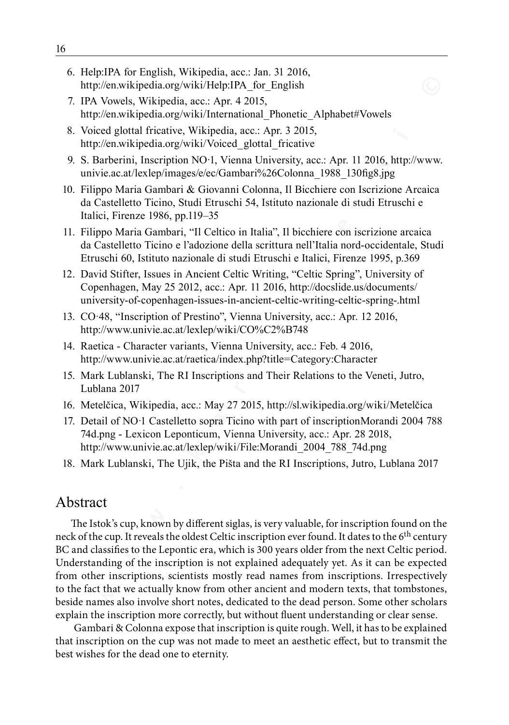- 6. Help:IPA for English, Wikipedia, acc.: Jan. 31 2016, http://en.wikipedia.org/wiki/Help:IPA\_for\_English
- 7. IPA Vowels, Wikipedia, acc.: Apr. 4 2015, http://en.wikipedia.org/wiki/International\_Phonetic\_Alphabet#Vowels
- 8. Voiced glottal fricative, Wikipedia, acc.: Apr. 3 2015, http://en.wikipedia.org/wiki/Voiced\_glottal\_fricative
- 9. S. Barberini, Inscription NO·1, Vienna University, acc.: Apr. 11 2016, http://www. univie.ac.at/lexlep/images/e/ec/Gambari%26Colonna\_1988\_130fig8.jpg
- 10. Filippo Maria Gambari & Giovanni Colonna, Il Bicchiere con Iscrizione Arcaica da Castelletto Ticino, Studi Etruschi 54, Istituto nazionale di studi Etruschi e Italici, Firenze 1986, pp.119–35
- 11. Filippo Maria Gambari, "Il Celtico in Italia", Il bicchiere con iscrizione arcaica da Castelletto Ticino e l'adozione della scrittura nell'Italia nord-occidentale, Studi Etruschi 60, Istituto nazionale di studi Etruschi e Italici, Firenze 1995, p.369
- 12. David Stifter, Issues in Ancient Celtic Writing, "Celtic Spring", University of Copenhagen, May 25 2012, acc.: Apr. 11 2016, http://docslide.us/documents/ university-of-copenhagen-issues-in-ancient-celtic-writing-celtic-spring-.html
- 13. CO·48, "Inscription of Prestino", Vienna University, acc.: Apr. 12 2016, http://www.univie.ac.at/lexlep/wiki/CO%C2%B748
- 14. Raetica Character variants, Vienna University, acc.: Feb. 4 2016, http://www.univie.ac.at/raetica/index.php?title=Category:Character
- 15. Mark Lublanski, The RI Inscriptions and Their Relations to the Veneti, Jutro, Lublana 2017
- 16. Metelčica, Wikipedia, acc.: May 27 2015, http://sl.wikipedia.org/wiki/Metelčica
- 17. Detail of NO·1 Castelletto sopra Ticino with part of inscriptionMorandi 2004 788 74d.png - Lexicon Leponticum, Vienna University, acc.: Apr. 28 2018, http://www.univie.ac.at/lexlep/wiki/File:Morandi\_2004\_788\_74d.png
- 18. Mark Lublanski, The Ujik, the Pišta and the RI Inscriptions, Jutro, Lublana 2017

### Abstract

**E E E E E E E E E E E E E E E E E E E E E C E E E C E C E C C C C C C C C C** The Istok's cup, known by different siglas, is very valuable, for inscription found on the neck of the cup. It reveals the oldest Celtic inscription ever found. It dates to the  $6<sup>th</sup>$  century BC and classifies to the Lepontic era, which is 300 years older from the next Celtic period. Understanding of the inscription is not explained adequately yet. As it can be expected from other inscriptions, scientists mostly read names from inscriptions. Irrespectively to the fact that we actually know from other ancient and modern texts, that tombstones, beside names also involve short notes, dedicated to the dead person. Some other scholars explain the inscription more correctly, but without fluent understanding or clear sense.

Gambari & Colonna expose that inscription is quite rough. Well, it has to be explained that inscription on the cup was not made to meet an aesthetic effect, but to transmit the best wishes for the dead one to eternity.